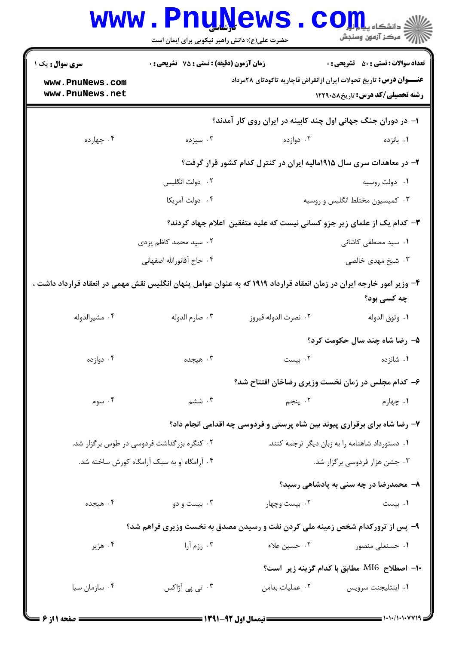|                                                                                                                       | <b>www.PnuNews</b><br>حضرت علی(ع): دانش راهبر نیکویی برای ایمان است |                                                                               | رِ ۖ مرڪز آزمون وسنڊش                           |
|-----------------------------------------------------------------------------------------------------------------------|---------------------------------------------------------------------|-------------------------------------------------------------------------------|-------------------------------------------------|
| <b>سری سوال :</b> یک ۱                                                                                                | زمان آزمون (دقیقه) : تستی : 75 آتشریحی : 0                          |                                                                               | <b>تعداد سوالات : تستي : 50 ٪ تشريحي : 0</b>    |
| www.PnuNews.com<br>www.PnuNews.net                                                                                    |                                                                     | <b>عنــــوان درس:</b> تاریخ تحولات ایران ازانقراض قاجاریه تاکودتای ۲۸مرداد    | <b>رشته تحصیلی/کد درس:</b> تاریخ581229 12       |
|                                                                                                                       |                                                                     | ا- در دوران جنگ جهانی اول چند کابینه در ایران روی کار آمدند؟                  |                                                 |
| ۰۴ چهارده                                                                                                             | ۰۳ سیزده                                                            | ۰۲ دوازده                                                                     | ۰۱ پانزده                                       |
|                                                                                                                       |                                                                     | ۲- در معاهدات سری سال ۱۹۱۵مالیه ایران در کنترل کدام کشور قرار گرفت؟           |                                                 |
|                                                                                                                       | ۰۲ دولت انگلیس                                                      |                                                                               | ۰۱ دولت روسيه                                   |
|                                                                                                                       | ۰۴ دولت آمریکا                                                      |                                                                               | ۰۳ کمیسیون مختلط انگلیس و روسیه                 |
|                                                                                                                       |                                                                     | ۳- کدام یک از علمای زیر جزو کسانی نیست که علیه متفقین اعلام جهاد کردند؟       |                                                 |
|                                                                                                                       | ۰۲ سید محمد کاظم یزدی                                               |                                                                               | ۰۱ سید مصطفی کاشانی                             |
|                                                                                                                       | ۰۴ حاج آقانورالله اصفهاني                                           |                                                                               | ۰۳ شیخ مهدی خالصی                               |
| ۴- وزیر امور خارجه ایران در زمان انعقاد قرارداد ۱۹۱۹ که به عنوان عوامل پنهان انگلیس نقش مهمی در انعقاد قرارداد داشت ، |                                                                     |                                                                               | چه کسی بود؟                                     |
| ۰۴ مشيرالدوله                                                                                                         | ۰۳ صارم الدوله                                                      | ٠٢ نصرت الدوله فيروز                                                          | ٠١ وثوق الدوله                                  |
|                                                                                                                       |                                                                     |                                                                               | ۵- رضا شاه چند سال حکومت کرد؟                   |
| ۰۴ دوازده                                                                                                             | ۰۳ هیجده                                                            | ۰۲ بیست                                                                       | ۰۱ شانزده                                       |
|                                                                                                                       |                                                                     | ۶– کدام مجلس در زمان نخست وزیری رضاخان افتتاح شد؟                             |                                                 |
| ۰۴ سوم                                                                                                                | ۰۳ ششم                                                              | ۰۲ پنجم                                                                       | ۰۱ چهارم                                        |
|                                                                                                                       |                                                                     | ۷- رضا شاه برای برقراری پیوند بین شاه پرستی و فردوسی چه اقدامی انجام داد؟     |                                                 |
| ۰۲ کنگره بزر گداشت فردوسی در طوس بر گزار شد.                                                                          |                                                                     |                                                                               | ٠١ دستورداد شاهنامه را به زبان ديگر ترجمه كنند. |
| ۰۴ آرامگاه او به سبک آرامگاه کورش ساخته شد.                                                                           |                                                                     |                                                                               | ۰۳ جشن هزار فردوسی برگزار شد.                   |
|                                                                                                                       |                                                                     |                                                                               | ۸- محمدرضا در چه سنی به پادشاهی رسید؟           |
| ۰۴ هیجده                                                                                                              | ۰۳ بیست و دو                                                        | ۰۲ بیست وچهار                                                                 | ۰۱ بیست                                         |
|                                                                                                                       |                                                                     | ۹- پس از ترورکدام شخص زمینه ملی کردن نفت و رسیدن مصدق به نخست وزیری فراهم شد؟ |                                                 |
| ۰۴ هژير                                                                                                               | ۰۳ رزم آرا                                                          | ۰۲ حسین علاء                                                                  | ۰۱ حسنعلی منصور                                 |
|                                                                                                                       |                                                                     |                                                                               | +ا– اصطلاح MI6 مطابق با كدام گزينه زير  است؟    |
| ۰۴ سازمان سيا                                                                                                         | ۰۳ تی پی آژاکس                                                      | ٠٢ عمليات بدامن                                                               | ٠١. اينتليجنت سرويس                             |
|                                                                                                                       |                                                                     |                                                                               |                                                 |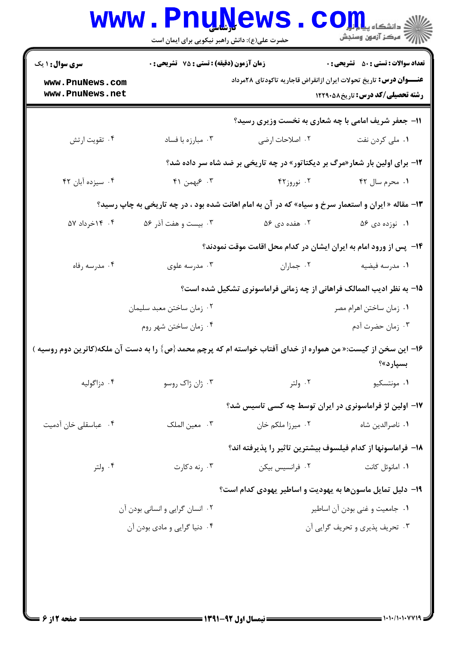| <b>سری سوال : ۱ یک</b>             | زمان آزمون (دقیقه) : تستی : 75 تشریحی : 0<br><b>تعداد سوالات : تستي : 50 ٪ تشريحي : 0</b> |                                                                                                               |                                          |
|------------------------------------|-------------------------------------------------------------------------------------------|---------------------------------------------------------------------------------------------------------------|------------------------------------------|
| www.PnuNews.com<br>www.PnuNews.net |                                                                                           | <b>عنــــوان درس:</b> تاریخ تحولات ایران ازانقراض قاجاریه تاکودتای ۲۸مرداد                                    | <b>رشته تحصیلی/کد درس: تاریخ ۱۲۲۹۰۵۸</b> |
|                                    |                                                                                           | 11- جعفر شریف امامی با چه شعاری به نخست وزیری رسید؟                                                           |                                          |
| ۰۴ تقویت ارتش                      | ۰۳ مبارزه با فساد                                                                         | ۰۲ اصلاحات ارضی                                                                                               | ۰۱ ملی کردن نفت                          |
|                                    |                                                                                           | ۱۲- برای اولین بار شعار«مرگ بر دیکتاتور» در چه تاریخی بر ضد شاه سر داده شد؟                                   |                                          |
| ۰۴ سيزده آبان ۴۲                   | ۴. عبهمن ۴۱                                                                               | ۰۲ نوروز۴۲                                                                                                    | ۰۱ محرم سال ۴۲                           |
|                                    |                                                                                           | ۱۳- مقاله « ایران و استعمار سرخ و سیاه» که در آن به امام اهانت شده بود ، در چه تاریخی به چاپ رسید؟            |                                          |
| ۰۴ ۱۴خرداد ۵۷                      | ۰۳ بیست و هفت آذر ۵۶                                                                      | ۰۲ هفده دی ۵۶                                                                                                 | ۰۱ نوزده دی ۵۶                           |
|                                    |                                                                                           | ۱۴– پس از ورود امام به ایران ایشان در کدام محل اقامت موقت نمودند؟                                             |                                          |
| ۰۴ مدرسه رفاه                      | ۰۳ مدرسه علوی                                                                             | ٠٢ جماران                                                                                                     | ٠١ مدرسه فيضيه                           |
|                                    |                                                                                           | ۱۵- به نظر ادیب الممالک فراهانی از چه زمانی فراماسونری تشکیل شده است؟                                         |                                          |
|                                    | ۰۲ زمان ساختن معبد سليمان                                                                 |                                                                                                               | ۰۱ زمان ساختن اهرام مصر                  |
|                                    | ۰۴ زمان ساختن شهر روم                                                                     |                                                                                                               | ۰۳ زمان حضرت آدم                         |
|                                    |                                                                                           | ۱۶– این سخن از کیست:« من همواره از خدای آفتاب خواسته ام که پرچم محمد {ص} را به دست آن ملکه(کاترین دوم روسیه ) | بسپارد»؟                                 |
| ۰۴ دزاگولیه                        | ۰۳ ژان ژاک روسو                                                                           | ۰۲ ولتر                                                                                                       | ۰۱ مونتسکیو                              |
|                                    |                                                                                           | ۱۷- اولین لژ فراماسونری در ایران توسط چه کسی تاسیس شد؟                                                        |                                          |
| ۰۴ عباسقلی خان آدمیت               | ۰۳ معین الملک                                                                             | ۰۲ میرزا ملکم خان                                                                                             | ٠١ ناصرالدين شاه                         |
|                                    |                                                                                           | ١٨- فراماسونها از كدام فيلسوف بيشترين تاثير را يذيرفته اند؟                                                   |                                          |
| ۰۴ ولتر                            | ۰۳ رنه دکارت                                                                              | ۰۲ فرانسیس بیکن                                                                                               | ٠١. امانوئل كانت                         |
|                                    |                                                                                           | ۱۹- دلیل تمایل ماسونها به یهودیت و اساطیر یهودی کدام است؟                                                     |                                          |
|                                    | ۰۲ انسان گرایی و انسانی بودن آن                                                           | ٠١ جامعيت و غني بودن آن اساطير                                                                                |                                          |
|                                    | ۰۴ دنیا گرایی و مادی بودن آن<br>۰۳ تحریف پذیری و تحریف گرایی آن                           |                                                                                                               |                                          |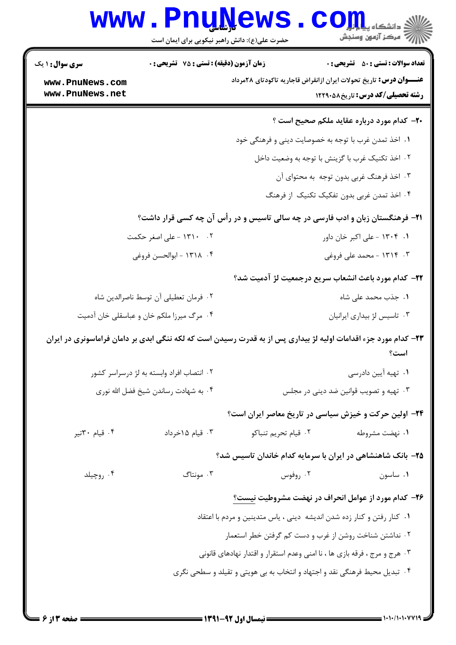| <b>زمان آزمون (دقیقه) : تستی : 75 تشریحی : 0</b><br><b>سری سوال : ۱ یک</b> |                                       |                                                                                                                 | <b>تعداد سوالات : تستي : 50 ٪ تشريحي : 0</b>      |
|----------------------------------------------------------------------------|---------------------------------------|-----------------------------------------------------------------------------------------------------------------|---------------------------------------------------|
| www.PnuNews.com<br>www.PnuNews.net                                         |                                       | <b>عنــــوان درس:</b> تاریخ تحولات ایران ازانقراض قاجاریه تاکودتای ۲۸مرداد                                      | <b>رشته تحصیلی/کد درس:</b> تاریخ588121            |
|                                                                            |                                       |                                                                                                                 | <b>۰۲-</b> کدام مورد درباره عقاید ملکم صحیح است ؟ |
|                                                                            |                                       | ١. اخذ تمدن غرب با توجه به خصوصايت ديني و فرهنگي خود                                                            |                                                   |
|                                                                            |                                       | ۰۲ اخذ تکنیک غرب با گزینش با توجه به وضعیت داخل                                                                 |                                                   |
|                                                                            |                                       |                                                                                                                 | ۰۳ اخذ فرهنگ غربی بدون توجه به محتوای آن          |
|                                                                            |                                       |                                                                                                                 | ۰۴ اخذ تمدن غربی بدون تفکیک تکنیک از فرهنگ        |
|                                                                            |                                       | <b>۳۱</b> - فرهنگستان زبان و ادب فارسی در چه سالی تاسیس و در رأس آن چه کسی قرار داشت؟                           |                                                   |
|                                                                            | ۰۲ - ۱۳۱۰ - علی اصغر حکمت             |                                                                                                                 | ۰۱ - ۱۳۰۴ - علی اکبر خان داور                     |
|                                                                            | ۰۴ - ۱۳۱۸ - ابوالحسن فروغي            |                                                                                                                 | ۰۳ - ۱۳۱۴ - محمد علی فروغی                        |
|                                                                            |                                       | <b>۲۲</b> – کدام مورد باعث انشعاب سریع درجمعیت لژ آدمیت شد؟                                                     |                                                   |
|                                                                            | ٠٢ فرمان تعطيلي أن توسط ناصرالدين شاه |                                                                                                                 | ۰۱ جذب محمد علی شاه                               |
| ۰۴ مرگ میرزا ملکم خان و عباسقلی خان آدمیت                                  |                                       |                                                                                                                 | ۰۳ تاسیس لژ بیداری ایرانیان                       |
|                                                                            |                                       | ۲۳- کدام مورد جزء اقدامات اولیه لژ بیداری پس از به قدرت رسیدن است که لکه ننگی ابدی بر دامان فراماسونری در ایران | است؟                                              |
| ۰۲ انتصاب افراد وابسته به لژ درسراسر کشور                                  |                                       |                                                                                                                 | ۰۱ تهیه آیین دادرسی                               |
| ۰۴ به شهادت رساندن شیخ فضل الله نوری                                       |                                       |                                                                                                                 | ۰۳ تهیه و تصویب قوانین ضد دینی در مجلس            |
|                                                                            |                                       | ۲۴− اولین حرکت و خیزش سیاسی در تاریخ معاصر ایران است؟                                                           |                                                   |
| ۰۴ قیام ۳۰تیر                                                              | ۰۳ قیام ۱۵خرداد                       | ۰۲ قيام تحريم تنباكو                                                                                            | ۰۱ نهضت مشروطه                                    |
|                                                                            |                                       | ۲۵- بانک شاهنشاهی در ایران با سرمایه کدام خاندان تاسیس شد؟                                                      |                                                   |
| ۰۴ روچیلد                                                                  | ۰۳ مونتاگ                             | ۰۲ روفوس                                                                                                        | ٠١ ساسون                                          |
|                                                                            |                                       | ۲۶– کدام مورد از عوامل انحراف در نهضت مشروطیت نیست؟                                                             |                                                   |
|                                                                            |                                       | ۰۱ كنار رفتن و كنار زده شدن انديشه ديني ، ياس متدينين و مردم با اعتقاد                                          |                                                   |
|                                                                            |                                       | ۰۲ نداشتن شناخت روشن از غرب و دست کم گرفتن خطر استعمار                                                          |                                                   |
|                                                                            |                                       | ۰۳ هرج و مرج ، فرقه بازی ها ، نا امنی وعدم استقرار و اقتدار نهادهای قانونی                                      |                                                   |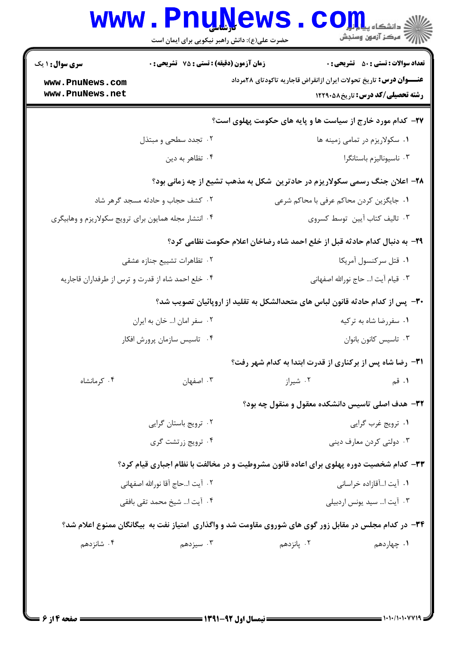| زمان آزمون (دقیقه) : تستی : 75 ٪ تشریحی : 0<br><b>تعداد سوالات : تستی : 50 ٪ تشریحی : 0</b>                          |                                                   | <b>سری سوال : ۱ یک</b>                                |
|----------------------------------------------------------------------------------------------------------------------|---------------------------------------------------|-------------------------------------------------------|
| <b>عنــــوان درس:</b> تاریخ تحولات ایران ازانقراض قاجاریه تاکودتای ۲۸مرداد<br><b>رشته تحصیلی/کد درس:</b> تاریخ588121 |                                                   | www.PnuNews.com<br>www.PnuNews.net                    |
| <b>۲۷- کدام مورد خارج از سیاست ها و پایه های حکومت پهلوی است</b> ؟                                                   |                                                   |                                                       |
| ۰۱ سکولاریزم در تمامی زمینه ها                                                                                       | ۰۲ تجدد سطحی و مبتذل                              |                                                       |
| ۰۳ ناسیونالیزم باستانگرا<br>۰۴ تظاهر به دين                                                                          |                                                   |                                                       |
| ۲۸- اعلان جنگ رسمی سکولاریزم در حادترین ًشکل به مذهب تشیع از چه زمانی بود؟                                           |                                                   |                                                       |
| ١. جايگزين كردن محاكم عرفي با محاكم شرعي                                                                             | ۰۲ کشف حجاب و حادثه مسجد گرهر شاد                 |                                                       |
| ٠٣ تاليف كتاب آيين توسط كسروى                                                                                        |                                                   | ۰۴ انتشار مجله همایون برای ترویج سکولاریزم و وهابیگری |
| ۲۹- به دنبال کدام حادثه قبل از خلع احمد شاه رضاخان اعلام حکومت نظامی کرد؟                                            |                                                   |                                                       |
| ۰۱ قتل سركنسول آمريكا                                                                                                | ۰۲ تظاهرات تشييع جنازه عشقى                       |                                                       |
| ٠٣ قيام آيت ا حاج نورالله اصفهاني                                                                                    | ۰۴ خلع احمد شاه از قدرت و ترس از طرفداران قاجاریه |                                                       |
| ۳۰– پس از کدام حادثه قانون لباس های متحدالشکل به تقلید از اروپائیان تصویب شد؟                                        |                                                   |                                                       |
| ۰۱ سفررضا شاه به ترکیه                                                                                               | ۰۲ سفر امان ا… خان به ایران                       |                                                       |
| ۰۳ تاسیس کانون بانوان                                                                                                | ۰۴ تاسیس سازمان پرورش افکار                       |                                                       |
| <b>٣١</b> - رضا شاه پس از بركناري از قدرت ابتدا به كدام شهر رفت؟                                                     |                                                   |                                                       |
| ۰۲ شیراز<br>۰۳ اصفهان<br>۱. قم                                                                                       |                                                   | ۰۴ کرمانشاه                                           |
| ۳۲- هدف اصلي تاسيس دانشکده معقول و منقول چه بود؟                                                                     |                                                   |                                                       |
| ۰۲ ترویج باستان گرایی<br>۰۱ ترويج غرب گرايي                                                                          |                                                   |                                                       |
| ۰۴ ترویج زرتشت گری<br>۰۳ دولتي کردن معارف ديني                                                                       |                                                   |                                                       |
| <b>۳۳</b> - کدام شخصیت دوره پهلوی برای اعاده قانون مشروطیت و در مخالفت با نظام اجباری قیام کرد؟                      |                                                   |                                                       |
| ٠١. آيت اآقازاده خراساني                                                                                             | ٢.      أيت ا…حاج  أقا نورالله اصفهاني            |                                                       |
| ۰۳ آیت ا سید یونس اردبیلی                                                                                            | ۰۴ آیت ا شیخ محمد تقی بافقی                       |                                                       |
| ۳۴- در کدام مجلس در مقابل زور گوی های شوروی مقاومت شد و واگذاری آمتیاز نفت به بیگانگان ممنوع اعلام شد؟               |                                                   |                                                       |
| ۰۲ پانزدهم<br>۰۱ چهاردهم                                                                                             | ۰۳ سیزدهم                                         | ۰۴ شانزدهم                                            |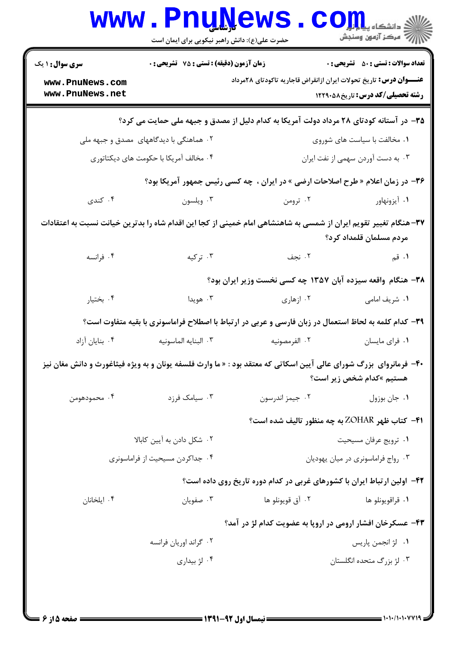| <b>تعداد سوالات : تستي : 50 ٪ تشريحي : 0</b> |                                                                                                                    | <b>زمان آزمون (دقیقه) : تستی : 75 تشریحی : 0</b> | <b>سری سوال : ۱ یک</b>             |  |
|----------------------------------------------|--------------------------------------------------------------------------------------------------------------------|--------------------------------------------------|------------------------------------|--|
| <b>رشته تحصیلی/کد درس: تاریخ ۱۲۲۹۰۵۸</b>     | <b>عنــــوان درس:</b> تاریخ تحولات ایران ازانقراض قاجاریه تاکودتای ۲۸مرداد                                         |                                                  | www.PnuNews.com<br>www.PnuNews.net |  |
|                                              | ۳۵– در آستانه کودتای ۲۸ مرداد دولت آمریکا به کدام دلیل از مصدق و جبهه ملی حمایت می کرد؟                            |                                                  |                                    |  |
| ۰۱ مخالفت با سیاست های شوروی                 |                                                                                                                    | ۰۲ هماهنگی با دیدگاههای مصدق و جبهه ملی          |                                    |  |
| ۰۳ به دست آوردن سهمی از نفت ایران            |                                                                                                                    | ۰۴ مخالف آمريكا با حكومت هاي ديكتاتوري           |                                    |  |
|                                              | ۳۶- در زمان اعلام « طرح اصلاحات ارضی » در ایران ، چه کسی رئیس جمهور آمریکا بود؟                                    |                                                  |                                    |  |
| ۰۱ آیزونهاور                                 | ۰۲ ترومن                                                                                                           | ۰۳ ویلسون                                        | ۰۴ کندی                            |  |
| مردم مسلمان قلمداد كرد؟                      | ۳۷–هنگام تغییر تقویم ایران از شمسی به شاهنشاهی امام خمینی از کجا این اقدام شاه را بدترین خیانت نسبت به اعتقادات    |                                                  |                                    |  |
| ۰۱ قم                                        | ۰۲ نجف                                                                                                             | ۰۳ ترکیه                                         | ۰۴ فرانسه                          |  |
|                                              | ۳۸– هنگام واقعه سیزده آبان ۱۳۵۷ چه کسی نخست وزیر ایران بود؟                                                        |                                                  |                                    |  |
| ۰۱ شریف امامی                                | ۰۲ ازهاری                                                                                                          | ۰۳ هويدا                                         | ۰۴ بختیار                          |  |
|                                              | ۳۹- کدام کلمه به لحاظ استعمال در زبان فارسی و عربی در ارتباط با اصطلاح فراماسونری با بقیه متفاوت است؟              |                                                  |                                    |  |
| ۰۱ فرای مایسان                               | ۰۲ الفرمصونيه                                                                                                      | ٠٣ البنايه الماسونيه                             | ۰۴ بنایان آزاد                     |  |
| هستیم »کدام شخص زیر است؟                     | ۴۰– فرمانروای  بزرگ شورای عالی آیین اسکاتی که معتقد بود : « ما وارث فلسفه یونان و به ویژه فیثاغورث و دانش مغان نیز |                                                  |                                    |  |
| ٠١ جان بوزول                                 | ٠٢ جيمز اندرسون                                                                                                    | ۰۳ سیامک فرزد                                    | ۰۴ محمودهومن                       |  |
|                                              | <b>۴۱</b> - کتاب ظهر ZOHAR به چه منظور تالیف شده است؟                                                              |                                                  |                                    |  |
| ۰۱ ترويج عرفان مسيحيت                        |                                                                                                                    |                                                  | ۰۲ شکل دادن به آیین کابالا         |  |
| ٠٣ رواج فراماسونري در ميان يهوديان           |                                                                                                                    |                                                  | ۰۴ جداکردن مسیحیت از فراماسونری    |  |
|                                              | ۴۲- اولین ارتباط ایران با کشورهای غربی در کدام دوره تاریخ روی داده است؟                                            |                                                  |                                    |  |
| ۰۱ قراقويونلو ها                             | ۰۲ آق قويونلو ها                                                                                                   | ۰۳ صفويان                                        | ۰۴ ایلخانان                        |  |
|                                              | ۴۳- عسکرخان افشار ارومی در اروپا به عضویت کدام لژ در آمد؟                                                          |                                                  |                                    |  |
| ٠١ لژ انجمن پاريس                            |                                                                                                                    | ۰۲ گراند اوريان فرانسه                           |                                    |  |
| ۰۳ لژ بزرگ متحده انگلستان                    |                                                                                                                    | ۰۴ لژ بیداری                                     |                                    |  |